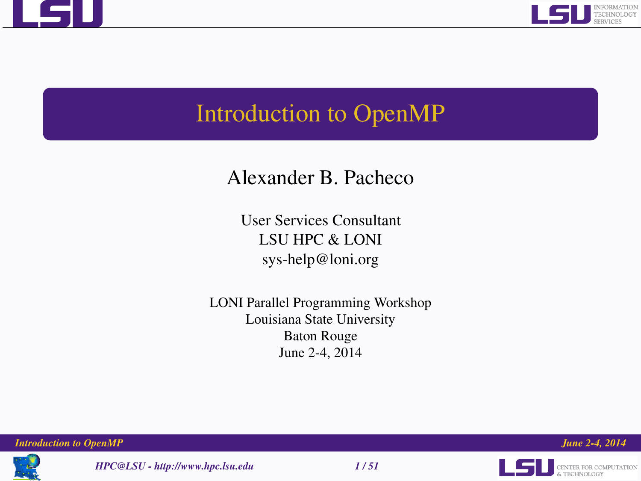



# Introduction to OpenMP

# Alexander B. Pacheco

User Services Consultant LSU HPC & LONI sys-help@loni.org

LONI Parallel Programming Workshop Louisiana State University Baton Rouge June 2-4, 2014



*HPC@LSU - http://www.hpc.lsu.edu 1 / 51*



*Introduction to OpenMP June 2-4, 2014*

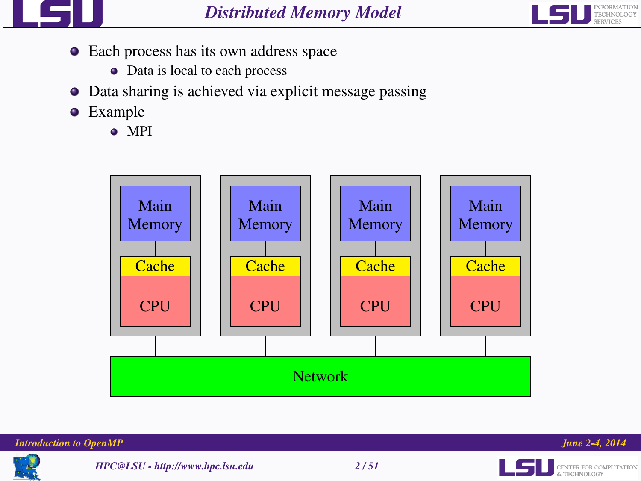



- Each process has its own address space
	- Data is local to each process
- Data sharing is achieved via explicit message passing  $\bullet$
- **•** Example
	- <sup>o</sup> MPI







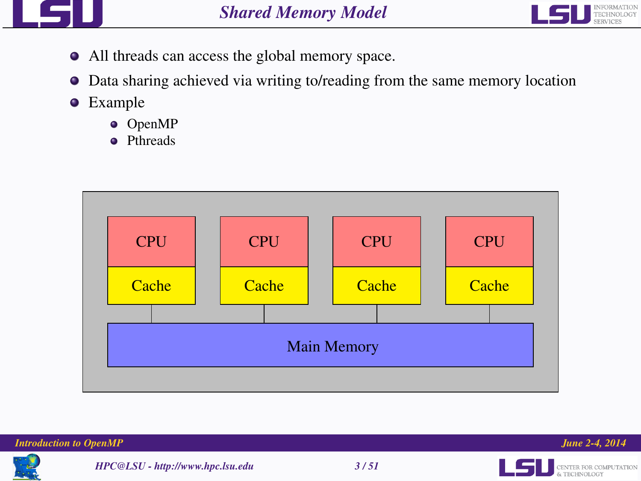



- All threads can access the global memory space.
- Data sharing achieved via writing to/reading from the same memory location 0
- **•** Example
	- OpenMP
	- **•** Pthreads



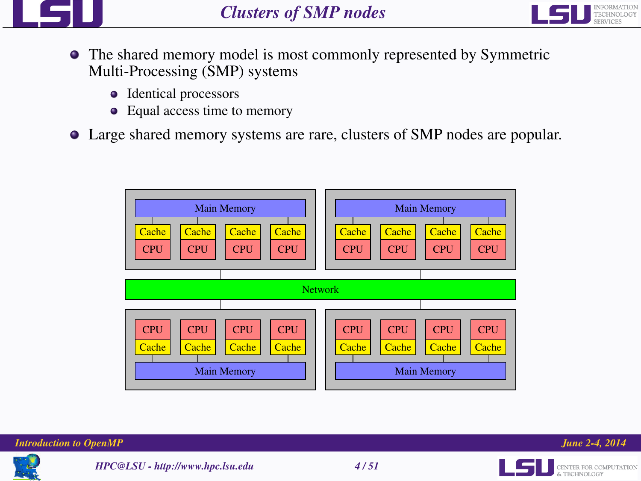



- The shared memory model is most commonly represented by Symmetric Multi-Processing (SMP) systems
	- Identical processors
	- Equal access time to memory
- Large shared memory systems are rare, clusters of SMP nodes are popular.







& TECHNOLOGY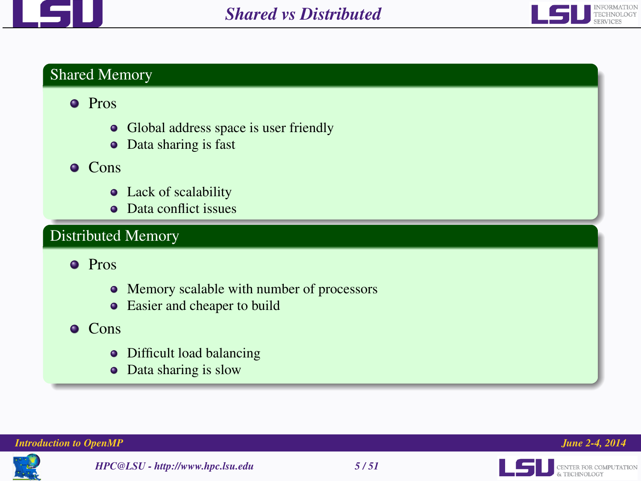



# Shared Memory

# **•** Pros

- Global address space is user friendly
- Data sharing is fast
- $O$  Cons
	- Lack of scalability
	- Data conflict issues

# Distributed Memory

**o** Pros

- Memory scalable with number of processors
- Easier and cheaper to build

# Cons

- Difficult load balancing
- Data sharing is slow







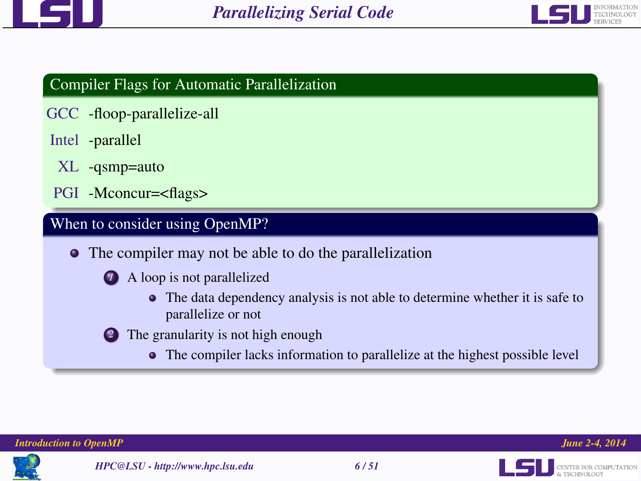



# Compiler Flags for Automatic Parallelization

- GCC -floop-parallelize-all
- Intel -parallel
	- XL -qsmp=auto
- PGI -Mconcur=<flags>

# When to consider using OpenMP?

- The compiler may not be able to do the parallelization
	- *1* A loop is not parallelized
		- The data dependency analysis is not able to determine whether it is safe to parallelize or not
	- *2* The granularity is not high enough
		- The compiler lacks information to parallelize at the highest possible level



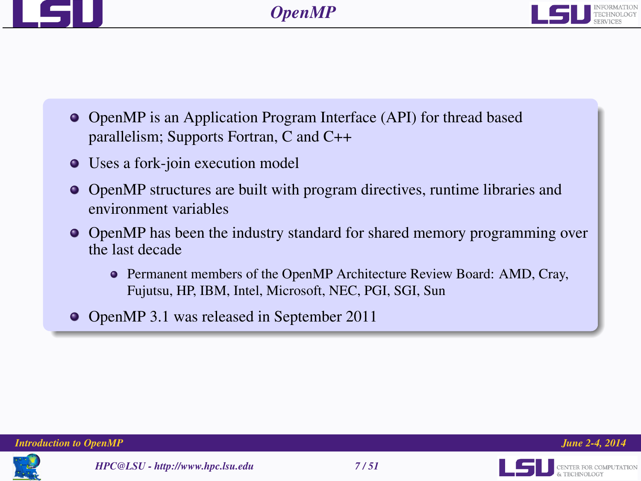



- OpenMP is an Application Program Interface (API) for thread based parallelism; Supports Fortran, C and C++
- Uses a fork-join execution model
- OpenMP structures are built with program directives, runtime libraries and environment variables
- OpenMP has been the industry standard for shared memory programming over the last decade
	- Permanent members of the OpenMP Architecture Review Board: AMD, Cray, Fujutsu, HP, IBM, Intel, Microsoft, NEC, PGI, SGI, Sun
- OpenMP 3.1 was released in September 2011

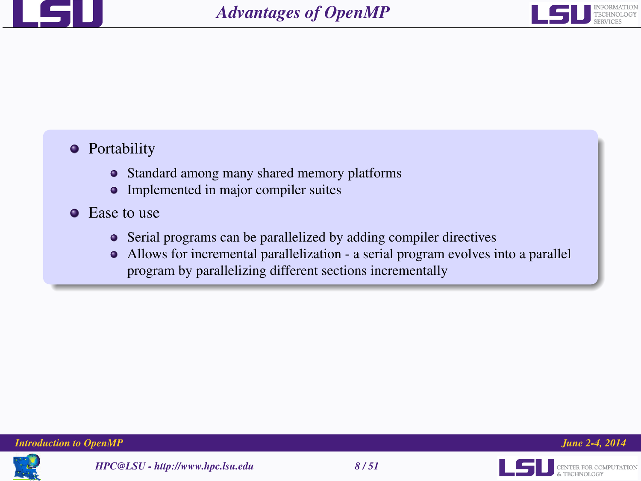



# **•** Portability

- Standard among many shared memory platforms
- Implemented in major compiler suites
- **Ease to use** 
	- Serial programs can be parallelized by adding compiler directives
	- Allows for incremental parallelization a serial program evolves into a parallel program by parallelizing different sections incrementally



**LES BENTER FOR COMPUTATION**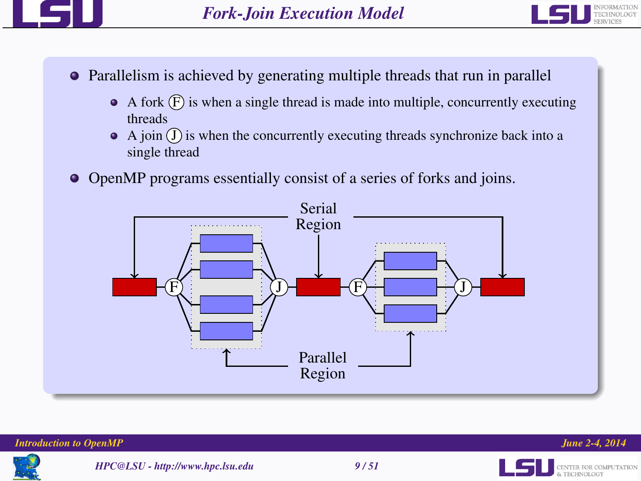



- Parallelism is achieved by generating multiple threads that run in parallel
	- $\bullet$  A fork  $(F)$  is when a single thread is made into multiple, concurrently executing threads
	- $\bullet$  A join  $\circ$  is when the concurrently executing threads synchronize back into a single thread
- OpenMP programs essentially consist of a series of forks and joins.



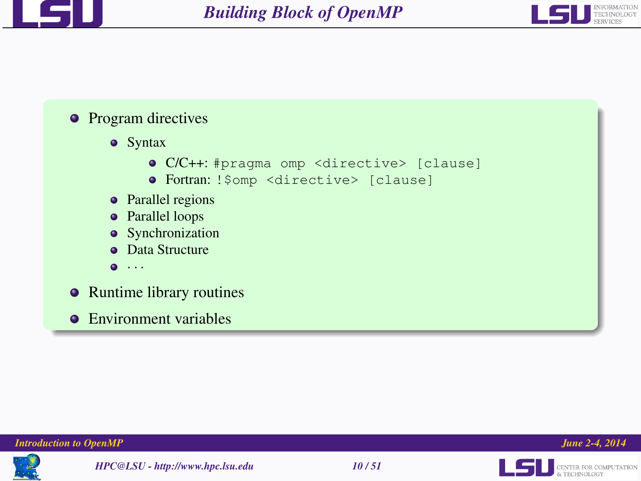



# • Program directives

- **•** Syntax
	- C/C++: #pragma omp <directive> [clause]
	- Fortran: !\$omp <directive> [clause]
- Parallel regions
- Parallel loops
- Synchronization
- **Data Structure**
- $\bullet$   $\cdot$   $\cdot$   $\cdot$
- Runtime library routines
- **•** Environment variables







L5U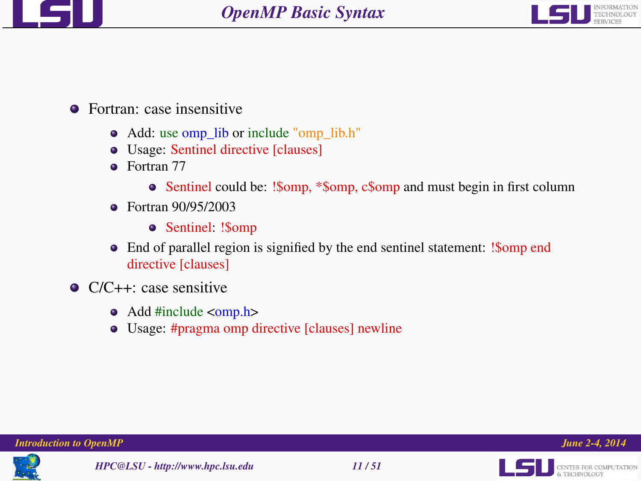



# **•** Fortran: case insensitive

- Add: use omp\_lib or include "omp\_lib.h"
- Usage: Sentinel directive [clauses]
- **•** Fortran 77
	- Sentinel could be: !Somp, \*Somp, csomp and must begin in first column
- Fortran 90/95/2003
	- Sentinel: !\$omp
- End of parallel region is signified by the end sentinel statement: !\$omp end directive [clauses]
- C/C++: case sensitive
	- Add #include <omp.h>
	- Usage: #pragma omp directive [clauses] newline





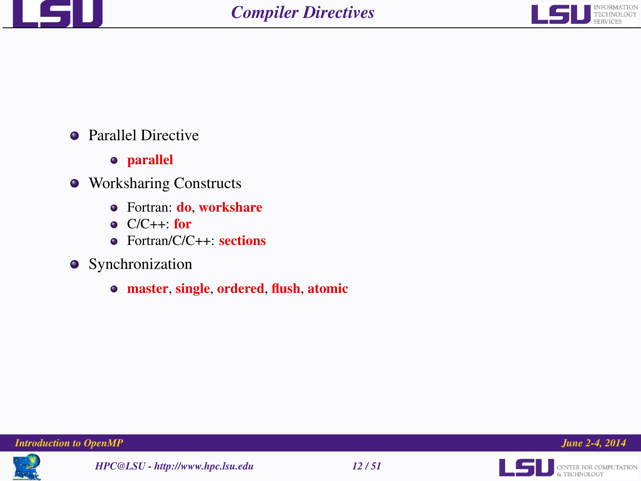



- Parallel Directive
	- parallel
- Worksharing Constructs
	- Fortran: do, workshare
	- $O(C++$  for
	- Fortran/C/C++: sections
- **•** Synchronization
	- master, single, ordered, flush, atomic







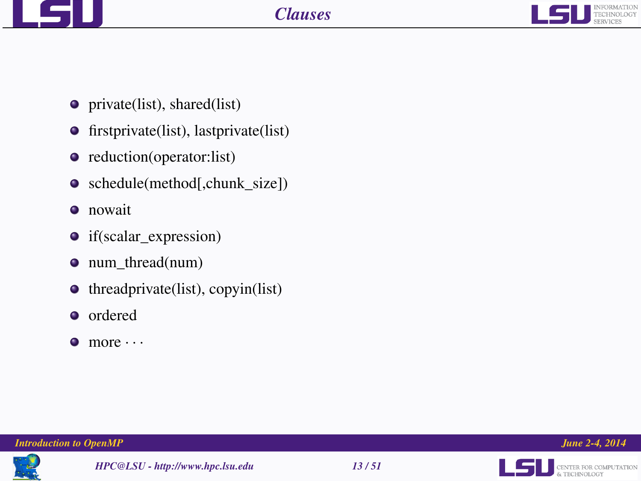



- private(list), shared(list)
- **•** firstprivate(list), lastprivate(list)
- reduction(operator:list)
- schedule(method[,chunk\_size])
- **o** nowait
- if(scalar\_expression)
- num thread(num)
- $\bullet$  threadprivate(list), copyin(list)
- ordered
- $\bullet$  more  $\cdots$







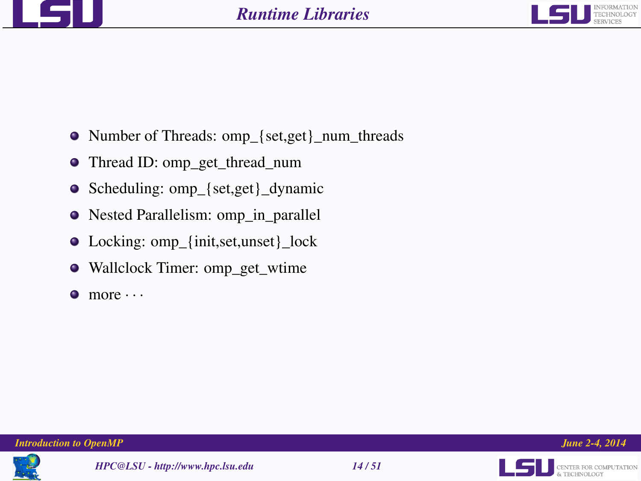



- Number of Threads: omp {set,get} num\_threads
- Thread ID: omp\_get\_thread\_num
- Scheduling: omp\_{set,get}\_dynamic
- Nested Parallelism: omp\_in\_parallel
- Locking: omp\_{init,set,unset}\_lock
- Wallclock Timer: omp\_get\_wtime
- $\bullet$  more  $\cdots$







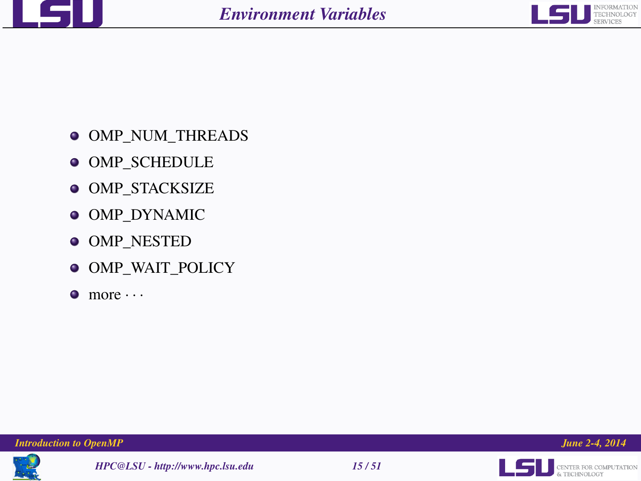



- $\bullet$  OMP NUM THREADS
- **OMP\_SCHEDULE**
- **OMP\_STACKSIZE**
- $\bullet$  OMP\_DYNAMIC
- $\bullet$  OMP\_NESTED
- $\bullet$  OMP\_WAIT\_POLICY
- $\bullet$  more  $\cdots$









**LEL** SENTER FOR COMPUTATION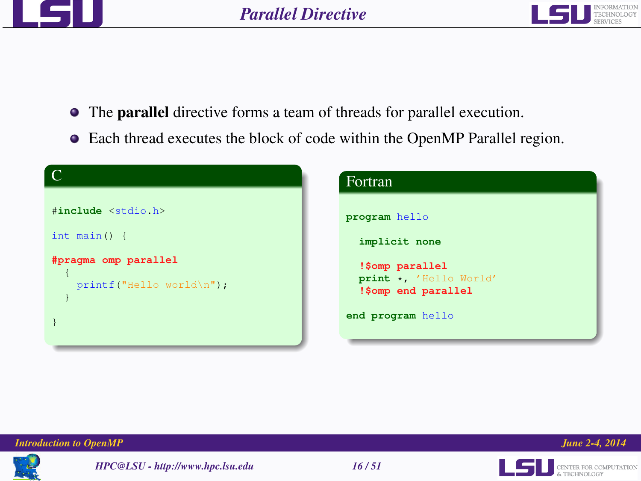



- The parallel directive forms a team of threads for parallel execution.
- Each thread executes the block of code within the OpenMP Parallel region.

| $\subset$                                        | Fortran                                                          |
|--------------------------------------------------|------------------------------------------------------------------|
| #include <stdio.h></stdio.h>                     | program hello                                                    |
| int main() $\{$                                  | implicit none                                                    |
| #pragma omp parallel<br>$printf("Hello world\n'$ | !\$omp parallel<br>print *, 'Hello World'<br>!\$omp end parallel |
|                                                  | end program hello                                                |





**LES DE CENTER FOR COMPUTATION**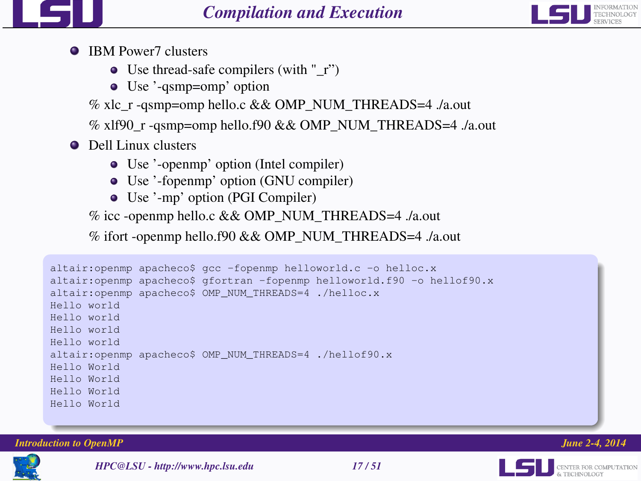



- **IBM Power7 clusters** 
	- $\bullet$  Use thread-safe compilers (with "\_r")
	- Use '-qsmp=omp' option
	- % xlc\_r -qsmp=omp hello.c && OMP\_NUM\_THREADS=4 ./a.out
	- % xlf90\_r -qsmp=omp hello.f90 && OMP\_NUM\_THREADS=4 ./a.out
- **O** Dell Linux clusters
	- Use '-openmp' option (Intel compiler)
	- Use '-fopenmp' option (GNU compiler)
	- Use '-mp' option (PGI Compiler)

% icc -openmp hello.c && OMP\_NUM\_THREADS=4 ./a.out

% ifort -openmp hello.f90 && OMP\_NUM\_THREADS=4 ./a.out

```
altair:openmp apacheco$ gcc -fopenmp helloworld.c -o helloc.x
altair:openmp apacheco$ gfortran -fopenmp helloworld.f90 -o hellof90.x
altair:openmp apacheco$ OMP_NUM_THREADS=4 ./helloc.x
Hello world
Hello world
Hello world
Hello world
altair:openmp apacheco$ OMP_NUM_THREADS=4 ./hellof90.x
Hello World
Hello World
Hello World
Hello World
```
*Introduction to OpenMP June 2-4, 2014*



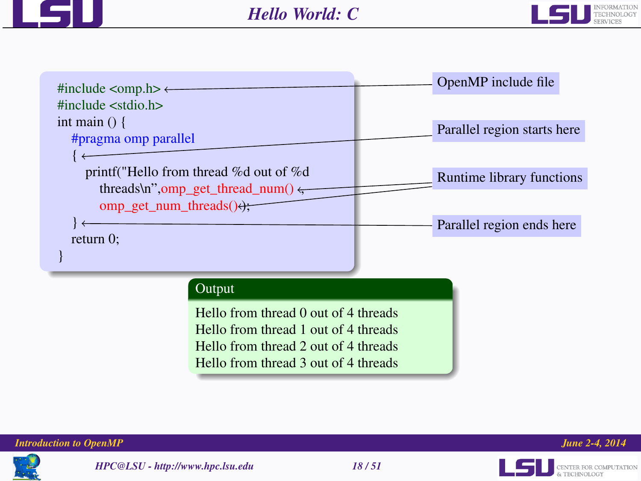









CENTER FOR COMPUTATION

ا رکبا ا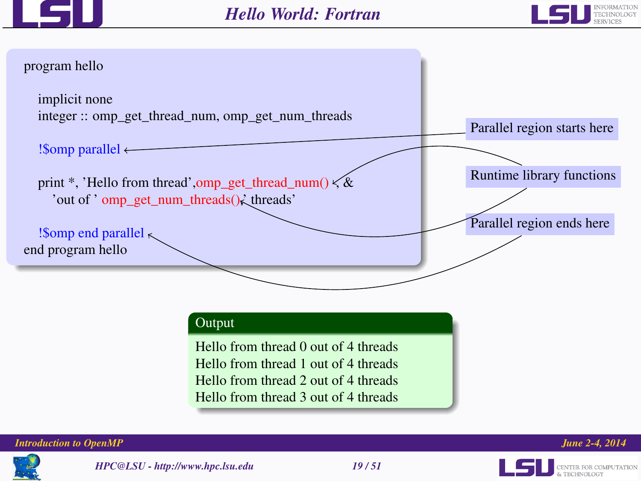





# Output

Hello from thread 0 out of 4 threads Hello from thread 1 out of 4 threads Hello from thread 2 out of 4 threads Hello from thread 3 out of 4 threads



CENTER FOR COMPUTATION

LSI



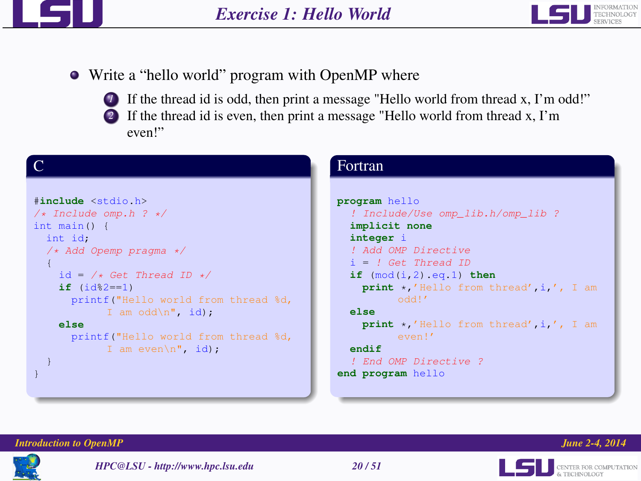



- Write a "hello world" program with OpenMP where
	-
	- **1** If the thread id is odd, then print a message "Hello world from thread x, I'm odd!"
	- *2* If the thread id is even, then print a message "Hello world from thread x, I'm even!"

| #include <stdio.h></stdio.h>        |
|-------------------------------------|
| $/*$ Include omp.h ? */             |
| int main() $\{$                     |
| int id:                             |
| /* Add Opemp pragma */              |
| 4                                   |
| $id = \sqrt{*} Get Thread ID * /$   |
| $if (id§2 == 1)$                    |
| printf("Hello world from thread %d, |
| I am odd\n", id);                   |
| else                                |
| printf("Hello world from thread %d, |
| I am even $\ln$ ", id);             |
|                                     |
|                                     |
|                                     |

# Fortran

```
program hello
  ! Include/Use omp_lib.h/omp_lib ?
  implicit none
  integer i
  ! Add OMP Directive
  i = ! Get Thread ID
  if (mod(i,2).eq.1) then
    print *,'Hello from thread',i,', I am
  else
    print *,'Hello from thread',i,', I am
         even!'
  endif
  ! End OMP Directive ?
end program hello
```




& TECHNOLOGY

L5U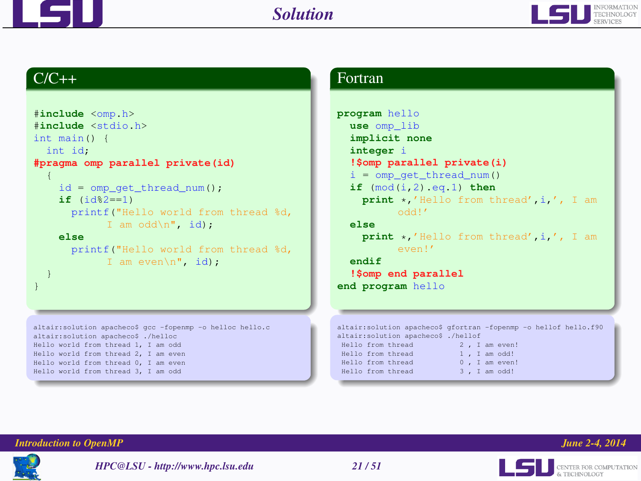



# $C/C++$

```
#include <omp.h>
#include <stdio.h>
int main() {
  int id;
#pragma omp parallel private(id)
  {
    id = comp_qet_thread_name();
    if (id%2==1)
       printf("Hello world from thread %d,
              I am odd\n\ln, id);
    else
       printf("Hello world from thread %d,
              I am even\n", id);
  }
}
altair:solution apacheco$ gcc -fopenmp -o helloc hello.c
altair:solution apacheco$ ./helloc
Hello world from thread 1, I am odd
Hello world from thread 2, I am even
Hello world from thread 0, I am even
Hello world from thread 3, I am odd
```
### Fortran

```
program hello
  use omp_lib
  implicit none
  integer i
   !$omp parallel private(i)
   i = omp qet thread num()
  if (mod(i,2).eq.1) then
     print *,'Hello from thread',i,', I am
            odd!'
   else
     print *,'Hello from thread',i,', I am
            even!'
   endif
   !$omp end parallel
end program hello
altair:solution apacheco$ gfortran -fopenmp -o hellof hello.f90
altair:solution apacheco$ ./hellof
 Hello from thread 2, I am even!<br>Hello from thread 1. I am odd!
 Hello from thread
 Hello from thread 0, I am even!<br>Hello from thread 3, I am odd!
 Hello from thread
```




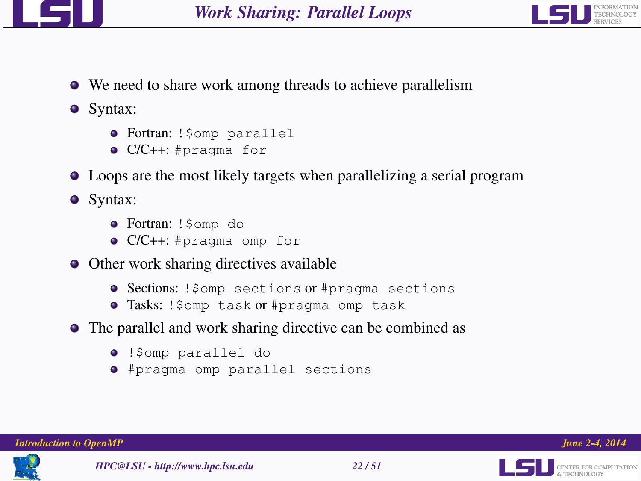



We need to share work among threads to achieve parallelism

• Syntax:

- Fortran: !\$omp parallel
- C/C++: #pragma for
- Loops are the most likely targets when parallelizing a serial program

• Syntax:

- **Fortran:** ! \$omp do
- C/C++: #pragma omp for
- Other work sharing directives available
	- **Sections:** ! \$omp sections or #pragma sections
	- **Tasks: !**\$omp task or #pragma omp task
- The parallel and work sharing directive can be combined as
	- !\$omp parallel do
	- #pragma omp parallel sections



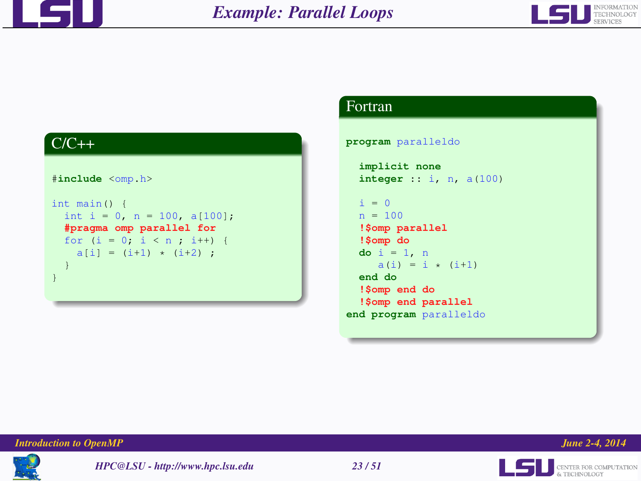





### Fortran

```
program paralleldo
```

```
implicit none
 integer :: i, n, a(100)
 i = 0n = 100!$omp parallel
 !$omp do
 do i = 1, n
    a(i) = i * (i+1)end do
 !$omp end do
  !$omp end parallel
end program paralleldo
```






**LEL** SENTER FOR COMPUTATION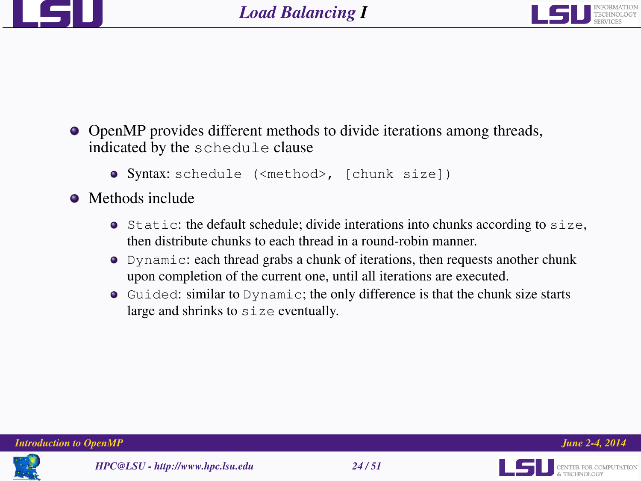



- OpenMP provides different methods to divide iterations among threads, indicated by the schedule clause
	- Syntax: schedule (<method>, [chunk size])
- Methods include
	- $\bullet$  Static: the default schedule; divide interations into chunks according to size, then distribute chunks to each thread in a round-robin manner.
	- Dynamic: each thread grabs a chunk of iterations, then requests another chunk upon completion of the current one, until all iterations are executed.
	- Guided: similar to Dynamic; the only difference is that the chunk size starts large and shrinks to size eventually.





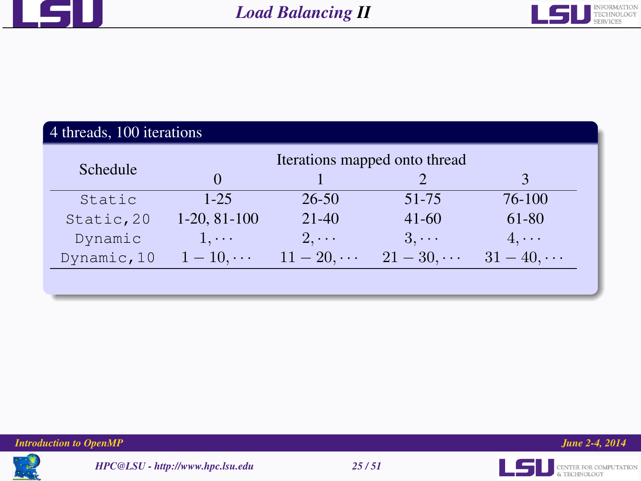



# 4 threads, 100 iterations

|             |                |             | Iterations mapped onto thread |             |
|-------------|----------------|-------------|-------------------------------|-------------|
| Schedule    |                |             |                               |             |
| Static      | $1 - 25$       | $26 - 50$   | $51 - 75$                     | 76-100      |
| Static, 20  | $1-20, 81-100$ | $21-40$     | $41-60$                       | 61-80       |
| Dynamic     | $1, \cdots$    | $2. \cdots$ | $3. \cdots$                   | $4. \cdots$ |
| Dynamic, 10 | $1-10, \cdots$ | $11 - 20$ , | $21-30$                       | $31 - 40$ , |
|             |                |             |                               |             |









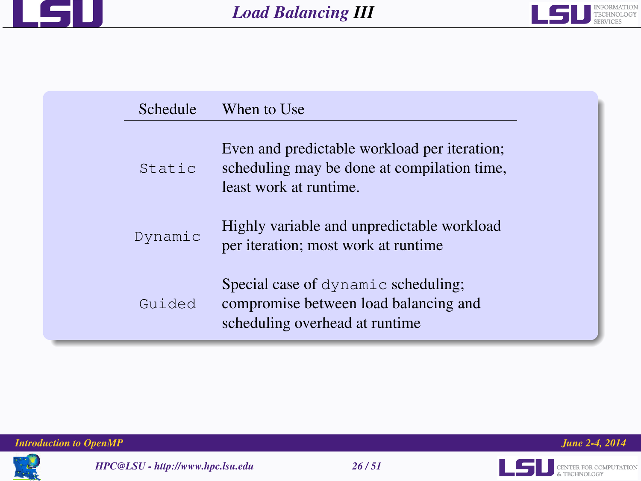



| Schedule | When to Use                                                                                                           |  |
|----------|-----------------------------------------------------------------------------------------------------------------------|--|
| Static   | Even and predictable workload per iteration;<br>scheduling may be done at compilation time,<br>least work at runtime. |  |
| Dynamic  | Highly variable and unpredictable workload<br>per iteration; most work at runtime                                     |  |
| Guided   | Special case of dynamic scheduling;<br>compromise between load balancing and<br>scheduling overhead at runtime        |  |





**LEL** CENTER FOR COMPUTATION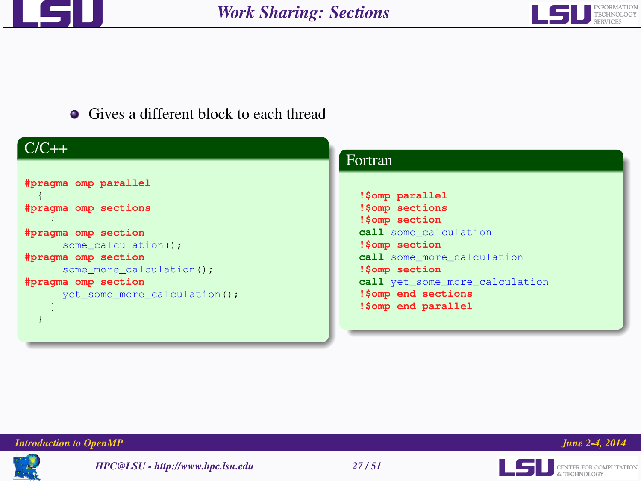



# • Gives a different block to each thread

| $C/C++$                       | Fortran                        |
|-------------------------------|--------------------------------|
|                               |                                |
| #pragma omp parallel          | !\$omp parallel                |
| #pragma omp sections          | !\$omp sections                |
|                               | !\$omp section                 |
| #pragma omp section           | call some calculation          |
| some calculation();           | !\$omp section                 |
| #pragma omp section           | call some more calculation     |
| some more calculation ();     | !\$omp section                 |
| #pragma omp section           | call yet some more calculation |
| yet some more calculation (); | !\$omp end sections            |
|                               | !\$omp end parallel            |
|                               |                                |
|                               |                                |
|                               |                                |

### *Introduction to OpenMP June 2-4, 2014*



*HPC@LSU - http://www.hpc.lsu.edu 27 / 51*



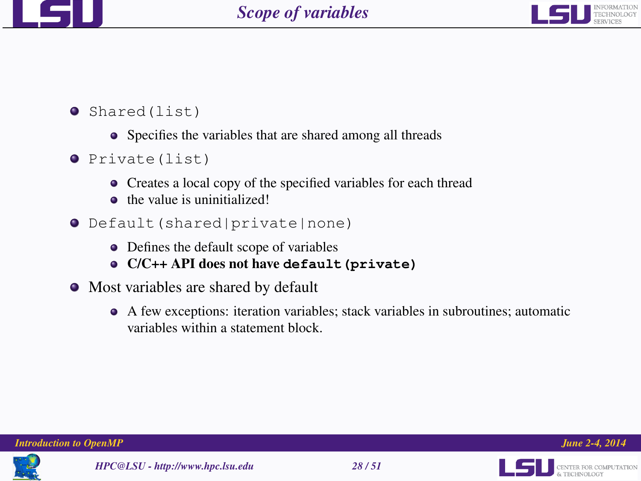



- $\bullet$  Shared(list)
	- Specifies the variables that are shared among all threads
- $\bullet$  Private(list)
	- Creates a local copy of the specified variables for each thread
	- **the value is uninitialized!**
- Default(shared|private|none)
	- Defines the default scope of variables
	- C/C++ API does not have **default(private)**
- Most variables are shared by default
	- A few exceptions: iteration variables; stack variables in subroutines; automatic variables within a statement block.





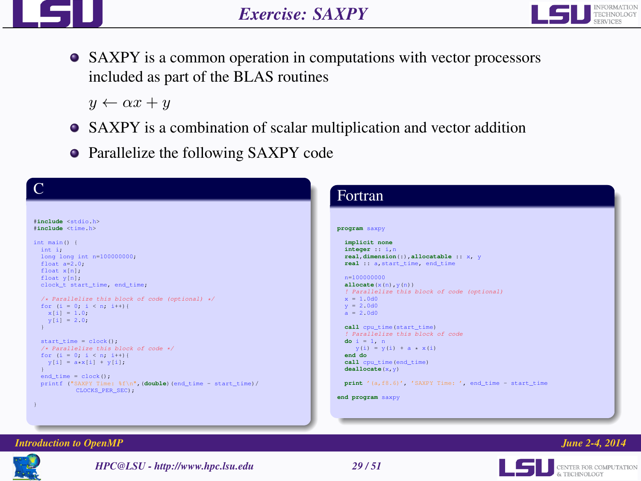



SAXPY is a common operation in computations with vector processors included as part of the BLAS routines

 $y \leftarrow \alpha x + y$ 

- SAXPY is a combination of scalar multiplication and vector addition
- Parallelize the following SAXPY code

| $\overline{C}$                                                                                                                                                                                                                                                                                                                                                                                                                                                                                | Fortran                                                                                                                                                                                                                                                                                                                                                                                                                                                                                                              |
|-----------------------------------------------------------------------------------------------------------------------------------------------------------------------------------------------------------------------------------------------------------------------------------------------------------------------------------------------------------------------------------------------------------------------------------------------------------------------------------------------|----------------------------------------------------------------------------------------------------------------------------------------------------------------------------------------------------------------------------------------------------------------------------------------------------------------------------------------------------------------------------------------------------------------------------------------------------------------------------------------------------------------------|
| #include <stdio.h><br/>finglude <time h=""></time></stdio.h>                                                                                                                                                                                                                                                                                                                                                                                                                                  | program saxpy                                                                                                                                                                                                                                                                                                                                                                                                                                                                                                        |
| int main()<br>int i:<br>long long int n=100000000;<br>$float a=2.0.$<br>float xinl:<br>float y[n];<br>clock_t start_time, end_time;<br>/* Parallelize this block of code (optional) */<br>for $(i = 0; i < n; i++)$<br>$x[i] = 10$ .<br>$y[i] = 2.0$<br>$start_time = clock();$<br>/* Parallelize this block of code */<br>for $(i = 0, i < n; i++)$<br>$y[i] = axx[i] + y[i],$<br>$end_time = clock();$<br>printf ("SAXPY Time: %f\n", (double) (end_time - start_time)/<br>CLOCKS_PER_SEC); | implicit none<br>integer :: i,n<br>real, dimension(:), allocatable :: x, y<br>real :: a, start_time, end_time<br>$n=100000000$<br>allocate $(x(n), y(n))$<br>! Parallelize this block of code (optional)<br>$x = 1.0d0$<br>$v = 2.0d0$<br>$a = 2.0d0$<br>call cpu_time(start_time)<br><i>1 Parallelize this block of code</i><br>$do i = 1, n$<br>$y(i) = y(i) + a + x(i)$<br>end do<br>call cpu_time(end_time)<br>deadlocate(x, y)<br>print '(a, f8.6)', 'SAXPY Time: ', end_time - start_time<br>end program saxpy |

#### *Introduction to OpenMP June 2-4, 2014*



*HPC@LSU - http://www.hpc.lsu.edu 29 / 51*



**LES DE CENTER FOR COMPUTATION**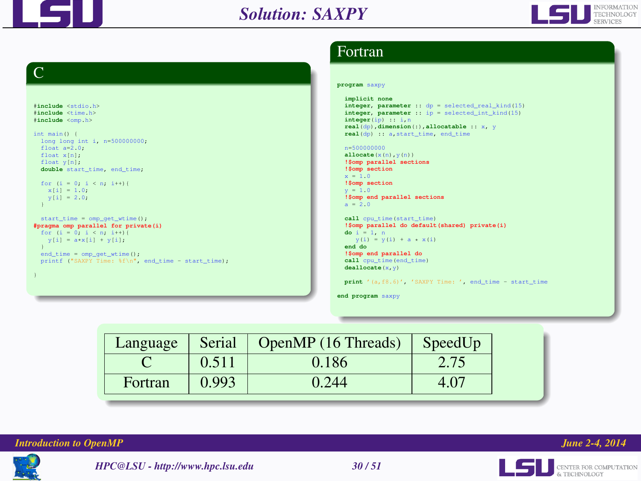



# C

```
#include <stdio.h>
#include <time.h>
#include <omp.h>
int main() {
 long long int i, n=500000000;
 float a=2.0;
 float x[n];
 float vin);
 double start_time, end_time;
 for (i = 0; i < n; i++)x[i] = 1.0;y[i] = 2.0;
 }
 start_time = omp_qet_wtime();
#pragma omp parallel for private(i)
 for (i = 0; i < n; i++)y[i] = a^{x}x[i] + y[i];
 }
 end_time = omp_get_wtime();
 printf ("SAXPY Time: %f\n", end_time - start_time);
```
# Fortran

#### **program** saxpy

```
implicit none
integer, parameter :: dp = selected_real_kind(15)
integer, parameter :: ip = selected_int_kind(15)
integer(ip) :: i,n
real(dp),dimension(:),allocatable :: x, y
real(dp) :: a,start_time, end_time
```
#### n=500000000

**allocate**(x(n),y(n)) **!\$omp parallel sections !\$omp section**  $x = 1.0$ **!\$omp section**  $y = 1.0$ **!\$omp end parallel sections**  $a = 2.0$ 

#### **call** cpu\_time(start\_time) **!\$omp parallel do default(shared) private(i)**

```
do i = 1, n
  y(i) = y(i) + a + x(i)end do
```

```
!$omp end parallel do
call cpu_time(end_time)
deallocate(x,y)
```

```
print '(a,f8.6)', 'SAXPY Time: ', end_time - start_time
```
**end program** saxpy

| Language | Serial | OpenMP (16 Threads) | SpeedUp |
|----------|--------|---------------------|---------|
|          | 0.511  | 0.186               | 2.75    |
| Fortran  | 0.993  | 0.244               | 4.07    |







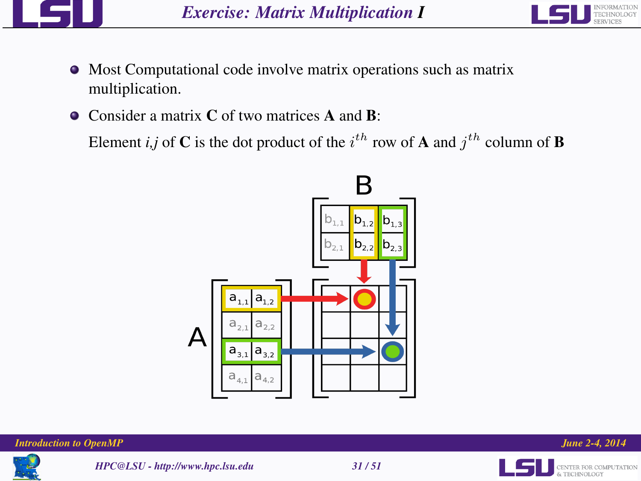



- Most Computational code involve matrix operations such as matrix multiplication.
- Consider a matrix C of two matrices **A** and **B**:

Element *i*,*j* of **C** is the dot product of the  $i^{th}$  row of **A** and  $j^{th}$  column of **B** 









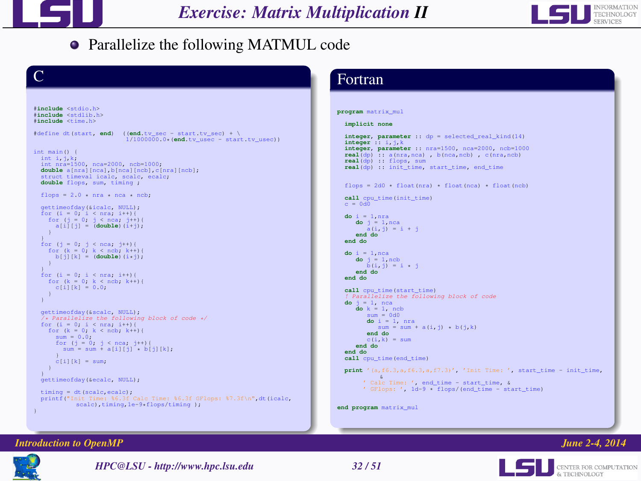



# • Parallelize the following MATMUL code



#### *Introduction to OpenMP June 2-4, 2014*



*HPC@LSU - http://www.hpc.lsu.edu 32 / 51*

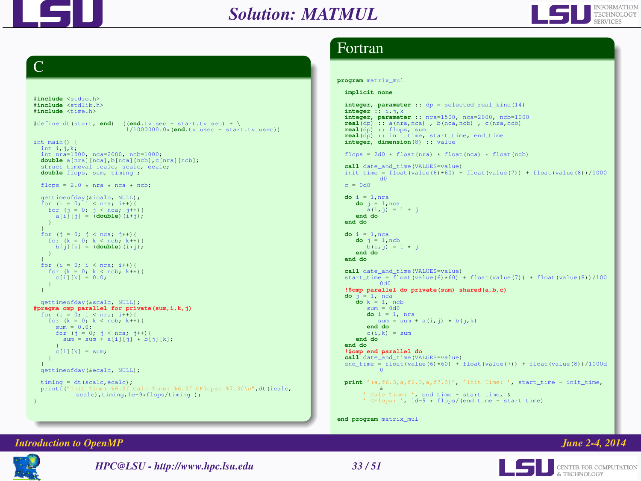



# C

```
#include <stdio.h>
#include <stdlib.h>
#include <time.h>
\frac{1}{2} define dt(start, end) ((end.tv_sec - start.tv_sec) + \
                            1/1000000.0*(end.tv_usec - start.tv_usec))
int main() {
 int i,j,k;
  int nra=1500, nca=2000, ncb=1000;
  double a[nra][nca],b[nca][ncb],c[nra][ncb];
  struct timeval icalc, scalc, ecalc;
  double flops, sum, timing ;
  flops = 2.0 \cdot nra \cdot nca \cdot ncb;
  gettimeofday(&icalc, NULL);
  for (i = 0, i < nra; i++){
     for (j = 0; j < nca; j++)<br>
a[i][j] = (double)(i+j);}
  }
for (j = 0; j < nca; j++){
    for (k = 0, k < \text{ncb}; k++)b[j][k] = (double)(i*j);
  for (i = 0; i < nra; i++)for (k = 0, k < \text{neh}; k++)c[i][k] = 0.0;}
  gettimeofday(&scalc, NULL);
#pragma omp parallel for private(sum,i,k,j)
 for (i = 0, i < nra; i+1for (k = 0, k < ncb; k++)sum = 0.0;
       for (j = 0; j < nca; j++){<br>sum = sum + a[i][j] * b[j][k];
      c[i][k] = sum;}
  gettimeofday(&ecalc, NULL);
  timing = dt(scalc,ecalc);<br>printf("Init Time: %6.3f (
                               halc Time: %6.3f GFlops: %7.3f\n",dt(icalc,
             scalc),timing, 1e-9*flops/timing );
```
## Fortran

```
program matrix_mul
  implicit none
  integer, parameter :: dp = selected_real_kind(14)
  integer :: i,j,k
  integer, parameter :: nra=1500, nca=2000, ncb=1000
  real(dp) :: a(nra,nca) , b(nca,ncb) , c(nra,ncb)
  real(dp) :: flops, sum
  real(dp) :: init_time, start_time, end_time
  integer, dimension(8) :: value
  flops = 2d0 \times float(nra) \times float(nca) \times float(ncb)
  call date_and_time(VALUES=value)
  init_time = float(value(6)\star60) + float(value(7)) + float(value(8))/1000
            d0
  c = 0d0do i = 1,nra
     do j = 1,nca
      a(i,j) = i + j
end do
  end do
  do i = 1,nca
     do j = 1,ncb
       b(i, j) = i * jend do
  end do
  call date_and_time(VALUES=value)
   start_time = float(value(6)*60) + float(value(7)) + float(value(8))/100
0d0
  !$omp parallel do private(sum) shared(a,b,c)
  do j = 1, nca
     do k = 1, ncb
        sum = 0d0do i = 1, nra
          sum = sum + a(i, j) + b(i, k)end do
        c(i, k) = sumend do
  end do
  !$omp end parallel do
  call date_and_time(VALUES=value)
  end_time = float(value(6)*60) + float(value(7)) + float(value(8))/1000d
            \Omegaprint '(a,f6.3,a,f6.3,a,f7.3)', 'Init Time: ', start_time - init_time,
        &
' Calc Time: ', end_time - start_time, &
       ' GFlops: ', 1d-9 * flops/(end_time - start_time)
```
**end program** matrix\_mul

#### *Introduction to OpenMP June 2-4, 2014*



*HPC@LSU - http://www.hpc.lsu.edu 33 / 51*

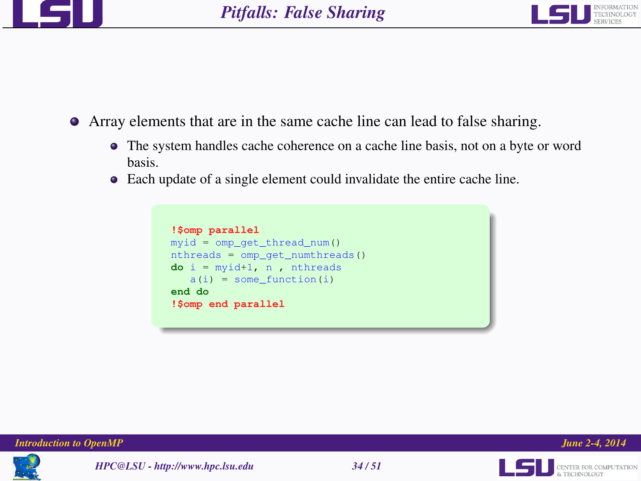



- Array elements that are in the same cache line can lead to false sharing.
	- The system handles cache coherence on a cache line basis, not on a byte or word basis.
	- Each update of a single element could invalidate the entire cache line.











& TECHNOLOGY

L5U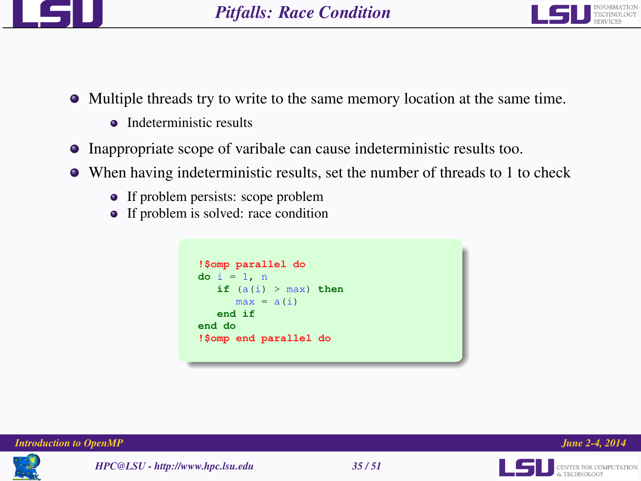



- Multiple threads try to write to the same memory location at the same time.
	- **•** Indeterministic results
- Inappropriate scope of varibale can cause indeterministic results too.
- When having indeterministic results, set the number of threads to 1 to check
	- If problem persists: scope problem
	- If problem is solved: race condition



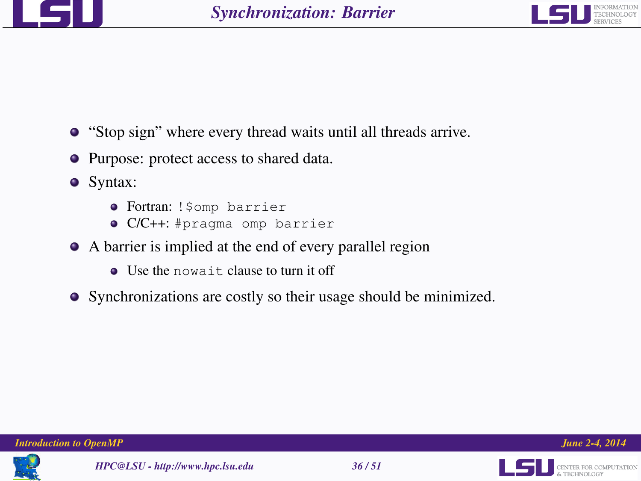



- "Stop sign" where every thread waits until all threads arrive.
- Purpose: protect access to shared data.
- Syntax:
	- Fortran: !\$omp barrier
	- C/C++: #pragma omp barrier
- A barrier is implied at the end of every parallel region
	- Use the nowait clause to turn it off
- Synchronizations are costly so their usage should be minimized.





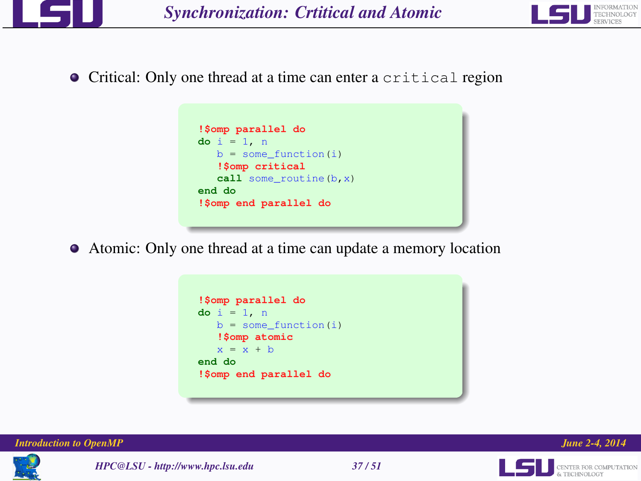



Critical: Only one thread at a time can enter a critical region



Atomic: Only one thread at a time can update a memory location







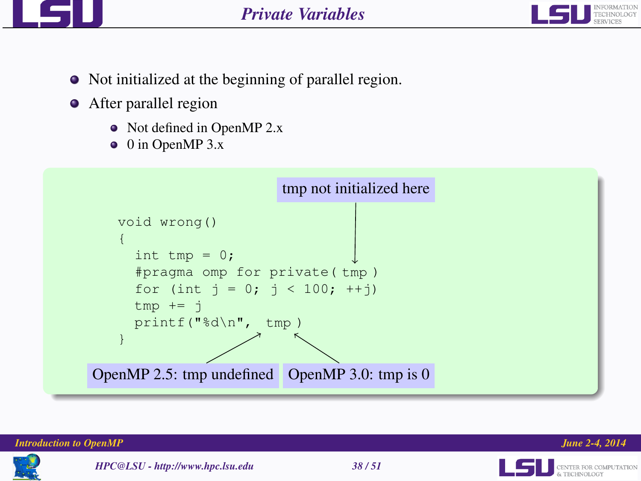



- Not initialized at the beginning of parallel region.
- After parallel region
	- Not defined in OpenMP 2.x
	- $\bullet$  0 in OpenMP 3.x



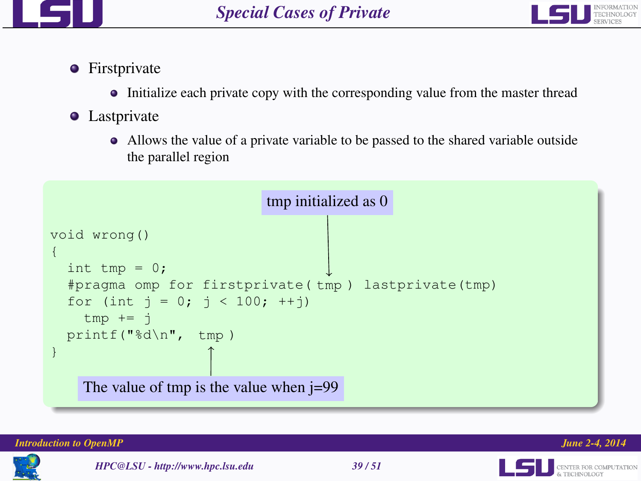



- **•** Firstprivate
	- Initialize each private copy with the corresponding value from the master thread
- **•** Lastprivate
	- Allows the value of a private variable to be passed to the shared variable outside the parallel region







& TECHNOLOGY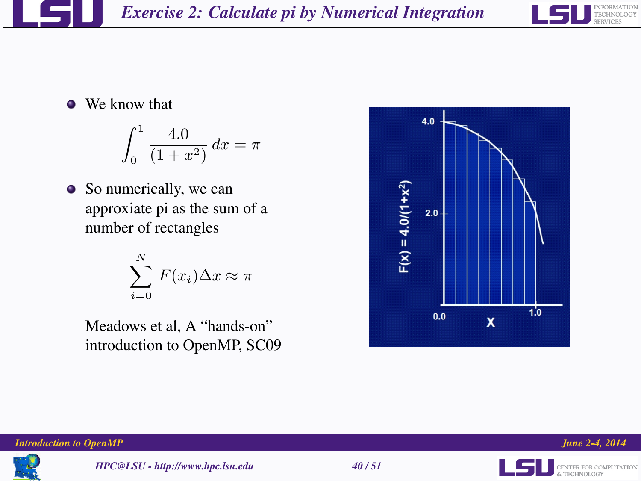

**We know that** 

$$
\int_0^1 \frac{4.0}{(1+x^2)} \, dx = \pi
$$

• So numerically, we can approxiate pi as the sum of a number of rectangles

$$
\sum_{i=0}^{N} F(x_i) \Delta x \approx \pi
$$

Meadows et al, A "hands-on" introduction to OpenMP, SC09







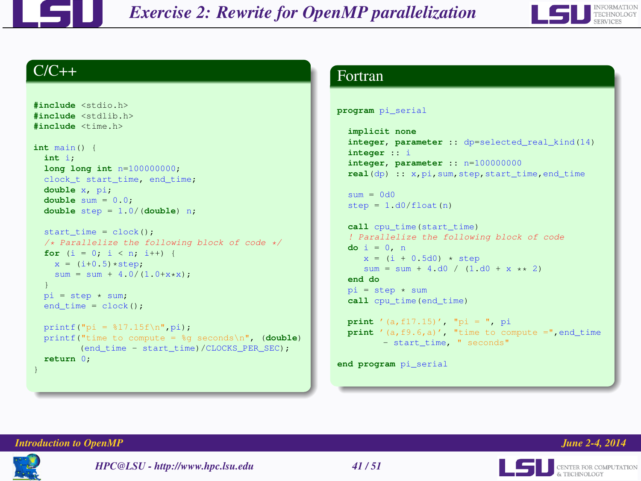



## $C/C++$

```
#include <stdio.h>
#include <stdlib.h>
#include <time.h>
int main() {
 int i;
 long long int n=100000000;
 clock t start time, end time;
 double x, pi;
 double sum = 0.0;
 double step = 1.0/(double) n;
 start time = clock();
 /* Parallelize the following block of code */
 for (i = 0; i < n; i++) {
   x = (i+0.5)*step:
   sum = sum + 4.0/(1.0+x*x);
  }
 pi = step \times sum:
 end time = clock();
 printf("pi = $17.15f\n", pi);
 printf("time to compute = %g seconds\n", (double)
        (end_time - start_time)/CLOCKS_PER_SEC);
 return 0;
}
```
## Fortran

```
program pi_serial
```

```
implicit none
integer, parameter :: dp=selected_real_kind(14)
integer :: i
integer, parameter :: n=100000000
real(dp) :: x,pi,sum,step,start_time,end_time
```

```
sum = 0d0step = 1. d0/float(n)
```

```
call cpu_time(start_time)
! Parallelize the following block of code
do i = 0, n
   x = (i + 0.5d0) * step
   sum = sum + 4.d0 / (1. d0 + x \times 2)
```

```
end do
pi = step * sumcall cpu_time(end_time)
```

```
print '(a,f17.15)', "pi = ", pi
print '(a,f9.6,a)', "time to compute =",end_time
      - start time, " seconds"
```
**end program** pi\_serial





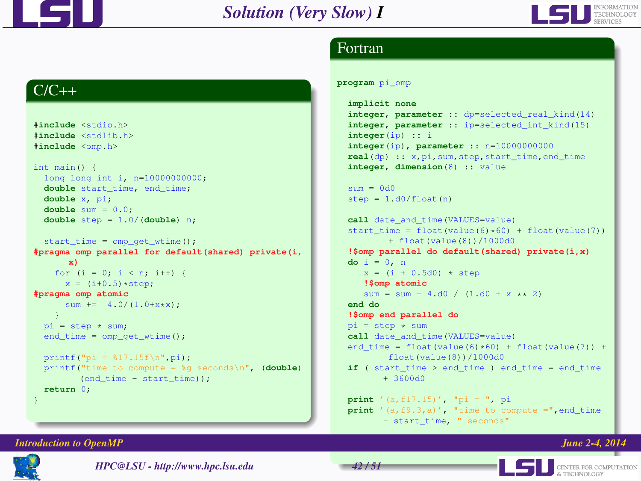



# Fortran

# $C/C++$

```
#include <stdio.h>
#include <stdlib.h>
#include <omp.h>
int main() {
 long long int i, n=10000000000;
 double start_time, end_time;
 double x, pi;
 double sum = 0.0;
 double step = 1.0/(double) n;
 start_time = omp_get_wtime();
#pragma omp parallel for default(shared) private(i,
      x)
   for (i = 0; i < n; i++) {
      x = (i+0.5) * step:
#pragma omp atomic
      sum += 4.0/(1.0+x*x);
    }
 pi = step \times sum:
 end_time = comp_qet_wtime();
 printf("pi = $17.15f\n", pi);
 printf("time to compute = %g seconds\n", (double)
         (end time - start time);
  return 0;
}
```
#### **program** pi\_omp

```
implicit none
integer, parameter :: dp=selected_real_kind(14)
integer, parameter :: ip=selected_int_kind(15)
integer(ip) :: i
integer(ip), parameter :: n=10000000000
real(dp) :: x,pi,sum,step,start_time,end_time
integer, dimension(8) :: value
```

```
sum = 0d0step = 1. d0/float(n)
```

```
call date_and_time(VALUES=value)
start time = float(value(6)*60) + float(value(7))
        + float(value(8))/1000d0
!$omp parallel do default(shared) private(i,x)
do i = 0, n
   x = (i + 0.5d0) * step!$omp atomic
   sum = sum + 4.d0 / (1. d0 + x \times 2)end do
!$omp end parallel do
pi = step * sumcall date and time(VALUES=value)
end time = float(value(6)*60) + float(value(7)) +
        float(value(8))/1000d0
if ( start_time > end_time ) end_time = end_time
       + 3600d0
print '(a,f17.15)', "pi = ", pi
print '(a, f9.3, a)', "time to compute =", end time
```

```
- start_time, " seconds"
```
#### *Introduction to OpenMP* **<b>endample 2-4, 2014**

**LEL** CENTER FOR COMPUTATION

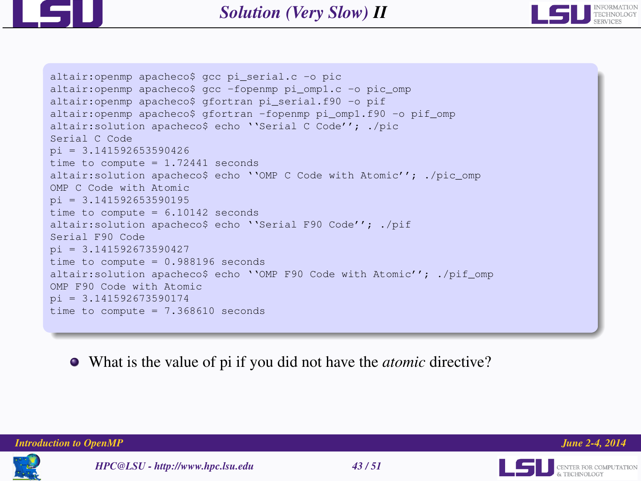



```
altair:openmp apacheco$ gcc pi_serial.c -o pic
altair:openmp apacheco$ gcc -fopenmp pi_omp1.c -o pic_omp
altair:openmp apacheco$ gfortran pi_serial.f90 -o pif
altair:openmp apacheco$ gfortran -fopenmp pi_omp1.f90 -o pif_omp
altair:solution apacheco$ echo ''Serial C Code''; ./pic
Serial C Code
pi = 3.141592653590426time to compute = 1.72441 seconds
altair:solution apacheco$ echo ''OMP C Code with Atomic''; ./pic_omp
OMP C Code with Atomic
pi = 3.141592653590195time to compute = 6.10142 seconds
altair:solution apacheco$ echo ''Serial F90 Code''; ./pif
Serial F90 Code
pi = 3.141592673590427
time to compute = 0.988196 seconds
altair:solution apacheco$ echo ''OMP F90 Code with Atomic''; ./pif_omp
OMP F90 Code with Atomic
pi = 3.141592673590174time to compute = 7.368610 seconds
```
What is the value of pi if you did not have the *atomic* directive?

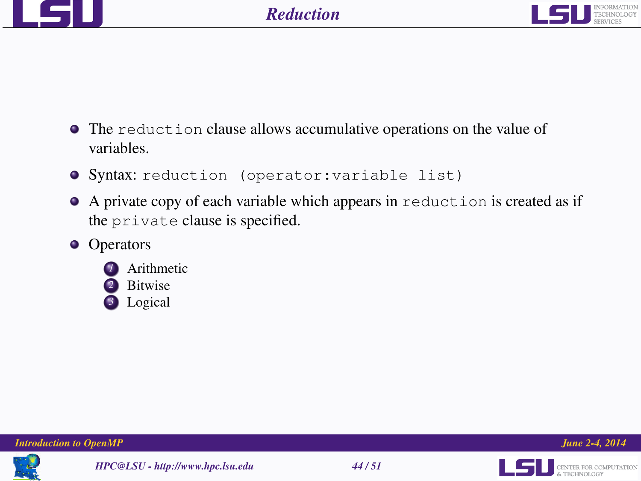



- The reduction clause allows accumulative operations on the value of variables.
- **O** Syntax: reduction (operator: variable list)
- A private copy of each variable which appears in reduction is created as if the private clause is specified.
- **•** Operators







*HPC@LSU - http://www.hpc.lsu.edu 44 / 51*



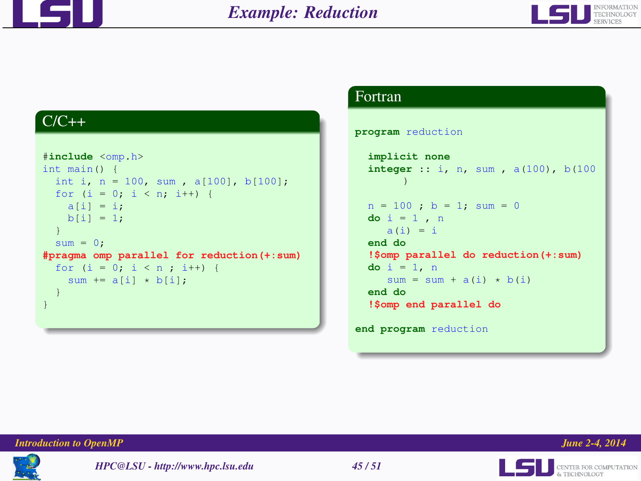



# $C/C++$

```
#include <omp.h>
int main() {
 int i, n = 100, sum, a[100], b[100];
 for (i = 0; i < n; i++)a[i] = i;b[i] = 1;
  }
 sum = 0;
#pragma omp parallel for reduction(+:sum)
 for (i = 0; i < n; i++) {
   sum += a[i] * b[i];}
}
```
### Fortran

#### **program** reduction

```
implicit none
  integer :: i, n, sum , a(100), b(100
        )
  n = 100; b = 1; sum = 0
  do i = 1 , n
    a(i) = iend do
  !$omp parallel do reduction(+:sum)
  do i = 1, n
     sum \equiv sum + a(i) \times b(i)end do
  !$omp end parallel do
end program reduction
```
#### *Introduction to OpenMP June 2-4, 2014*





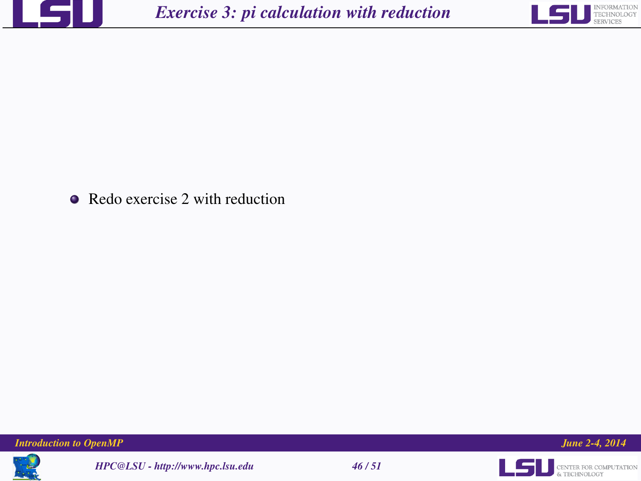



• Redo exercise 2 with reduction





*HPC@LSU - http://www.hpc.lsu.edu 46 / 51*



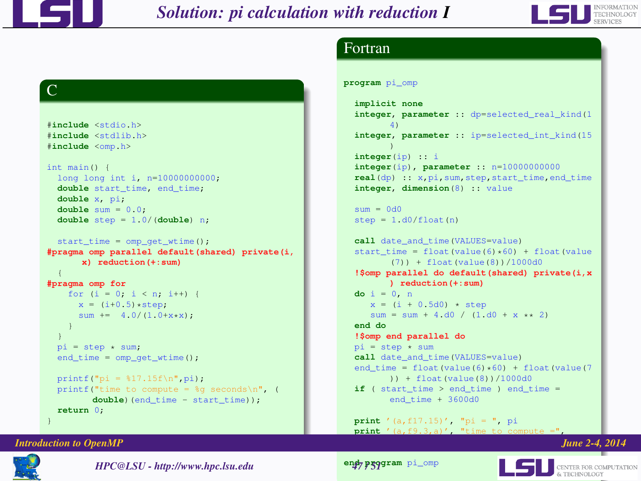

 $\overline{C}$ 

#**include** <stdio.h> #**include** <stdlib.h> #**include** <omp.h> int main() {

**double** x, pi; **double** sum = 0.0; **double** step = 1.0/(**double**) n; start\_time = omp\_get\_wtime();

long long int i, n=10000000000; **double** start\_time, end\_time;

**x) reduction(+:sum)**

for  $(i = 0; i < n; i++)$  {  $x = (i+0.5)*step:$ sum  $+= 4.0/(1.0+x*x)$ ;

# *Solution: pi calculation with reduction I*



## Fortran

```
program pi_omp
```

```
implicit none
integer, parameter :: dp=selected_real_kind(1
       4)
integer, parameter :: ip=selected_int_kind(15
       )
integer(ip) :: i
integer(ip), parameter :: n=10000000000
real(dp) :: x,pi,sum,step,start_time,end_time
integer, dimension(8) :: value
sum = 0d0step = 1. d0/float(n)call date_and_time(VALUES=value)
start time = float(value(6)*60) + float(value
       (7)) + float(value(8))/1000d0
!$omp parallel do default(shared) private(i,x
      ) reduction(+:sum)
do i = 0, n
   x = (i + 0.5d0) * step
   sum = sum + 4.d0 / (1. d0 + x * x)end do
!$omp end parallel do
pi = step * sumcall date and time(VALUES=value)
end_time = float(value(6)*60) + float(value(7))) + float(value(8))/1000d0
if ( start time > end time ) end time =
      end_time + 3600d0
```

```
print '(a,f17.15)', "pi = ", pi
print \frac{1}{2} (a, f9.3,a)<sup>\frac{1}{2}</sup>
```
#### *Introduction to OpenMP June 2-4, 2014*

**return** 0; }

{ **#pragma omp for**

> } }

 $pi = step \times sum$ ; end\_time = omp\_get\_wtime(); printf("pi =  $17.15f\ln$ , pi);



*HPC@LSU - http://www.hpc.lsu.edu 47 / 51*

printf("time to compute =  $sg$  seconds\n", ( **double**)(end time - start time));

**#pragma omp parallel default(shared) private(i,**

**end program** pi\_omp

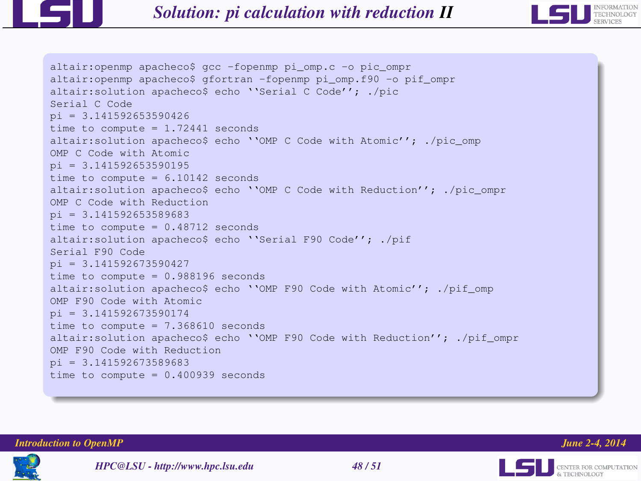

```
altair:openmp apacheco$ gcc -fopenmp pi_omp.c -o pic_ompr
altair:openmp apacheco$ gfortran -fopenmp pi_omp.f90 -o pif_ompr
altair:solution apacheco$ echo ''Serial C Code''; ./pic
Serial C Code
pi = 3.141592653590426time to compute = 1.72441 seconds
altair:solution apacheco$ echo ''OMP C Code with Atomic''; ./pic_omp
OMP C Code with Atomic
pi = 3.141592653590195time to compute = 6.10142 seconds
altair:solution apacheco$ echo ''OMP C Code with Reduction''; ./pic_ompr
OMP C Code with Reduction
pi = 3.141592653589683time to compute = 0.48712 seconds
altair:solution apacheco$ echo ''Serial F90 Code''; ./pif
Serial F90 Code
pi = 3.141592673590427
time to compute = 0.988196 seconds
altair:solution apacheco$ echo ''OMP F90 Code with Atomic''; ./pif_omp
OMP F90 Code with Atomic
pi = 3.141592673590174time to compute = 7.368610 seconds
altair:solution apacheco$ echo ''OMP F90 Code with Reduction''; ./pif ompr
OMP F90 Code with Reduction
pi = 3.141592673589683time to compute = 0.400939 seconds
```
*Introduction to OpenMP June 2-4, 2014*

ILSI.





*HPC@LSU - http://www.hpc.lsu.edu 48 / 51*

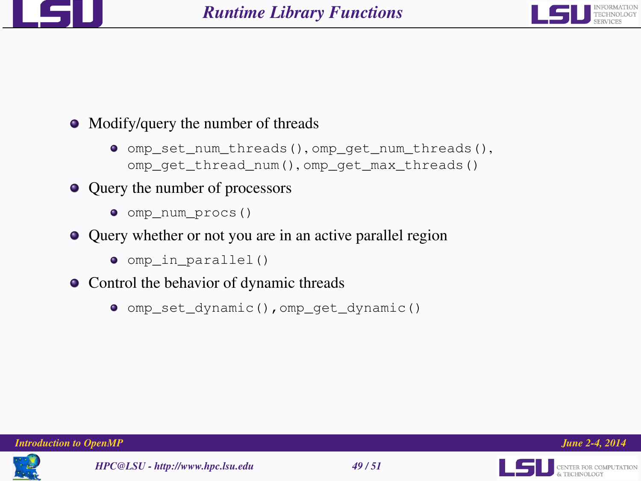



- Modify/query the number of threads
	- omp\_set\_num\_threads(), omp\_get\_num\_threads(), omp\_get\_thread\_num(), omp\_get\_max\_threads()
- Query the number of processors
	- $\bullet$  omp num procs()
- Query whether or not you are in an active parallel region
	- $\bullet$  omp in parallel()
- Control the behavior of dynamic threads
	- omp\_set\_dynamic(),omp\_get\_dynamic()



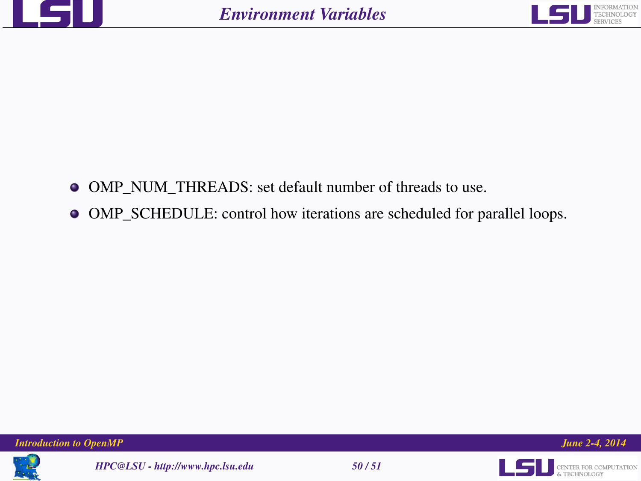



- OMP\_NUM\_THREADS: set default number of threads to use.
- OMP\_SCHEDULE: control how iterations are scheduled for parallel loops.